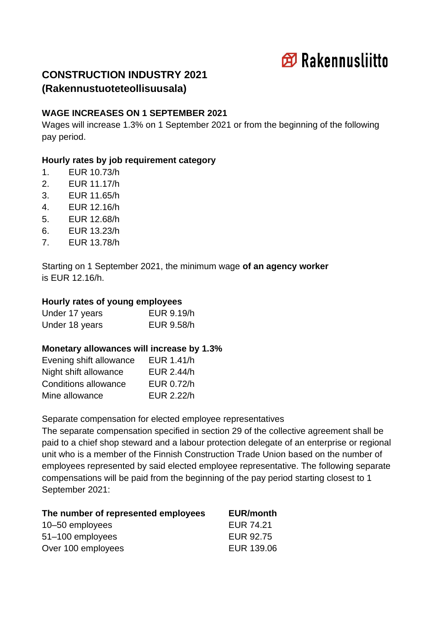

# **CONSTRUCTION INDUSTRY 2021 (Rakennustuoteteollisuusala)**

### **WAGE INCREASES ON 1 SEPTEMBER 2021**

Wages will increase 1.3% on 1 September 2021 or from the beginning of the following pay period.

### **Hourly rates by job requirement category**

- 1. EUR 10.73/h
- 2. EUR 11.17/h
- 3. EUR 11.65/h
- 4. EUR 12.16/h
- 5. EUR 12.68/h
- 6. EUR 13.23/h
- 7. EUR 13.78/h

Starting on 1 September 2021, the minimum wage **of an agency worker** is EUR 12.16/h.

### **Hourly rates of young employees**

| Under 17 years | EUR 9.19/h |
|----------------|------------|
| Under 18 years | EUR 9.58/h |

### **Monetary allowances will increase by 1.3%**

| Evening shift allowance | EUR 1.41/h |
|-------------------------|------------|
| Night shift allowance   | EUR 2.44/h |
| Conditions allowance    | EUR 0.72/h |
| Mine allowance          | EUR 2.22/h |

Separate compensation for elected employee representatives

The separate compensation specified in section 29 of the collective agreement shall be paid to a chief shop steward and a labour protection delegate of an enterprise or regional unit who is a member of the Finnish Construction Trade Union based on the number of employees represented by said elected employee representative. The following separate compensations will be paid from the beginning of the pay period starting closest to 1 September 2021:

| The number of represented employees | <b>EUR/month</b> |
|-------------------------------------|------------------|
| 10-50 employees                     | EUR 74.21        |
| 51-100 employees                    | EUR 92.75        |
| Over 100 employees                  | EUR 139.06       |